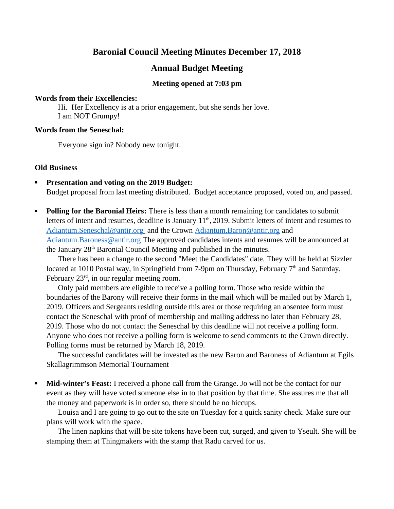# **Baronial Council Meeting Minutes December 17, 2018**

## **Annual Budget Meeting**

#### **Meeting opened at 7:03 pm**

#### **Words from their Excellencies:**

Hi. Her Excellency is at a prior engagement, but she sends her love. I am NOT Grumpy!

#### **Words from the Seneschal:**

Everyone sign in? Nobody new tonight.

#### **Old Business**

- **Presentation and voting on the 2019 Budget:** Budget proposal from last meeting distributed. Budget acceptance proposed, voted on, and passed.
- **Polling for the Baronial Heirs:** There is less than a month remaining for candidates to submit letters of intent and resumes, deadline is January 11<sup>th</sup>, 2019. Submit letters of intent and resumes to Adiantum.Seneschal@antir.org and the Crown [Adiantum.Baron@antir.org](mailto:Adiantum.Baron@antir.org) and [Adiantum.Baroness@antir.org](mailto:Adiantum.Baroness@antir.org) The approved candidates intents and resumes will be announced at the January 28<sup>th</sup> Baronial Council Meeting and published in the minutes.

There has been a change to the second "Meet the Candidates" date. They will be held at Sizzler located at 1010 Postal way, in Springfield from 7-9pm on Thursday, February  $7<sup>th</sup>$  and Saturday, February  $23<sup>rd</sup>$ , in our regular meeting room.

Only paid members are eligible to receive a polling form. Those who reside within the boundaries of the Barony will receive their forms in the mail which will be mailed out by March 1, 2019. Officers and Sergeants residing outside this area or those requiring an absentee form must contact the Seneschal with proof of membership and mailing address no later than February 28, 2019. Those who do not contact the Seneschal by this deadline will not receive a polling form. Anyone who does not receive a polling form is welcome to send comments to the Crown directly. Polling forms must be returned by March 18, 2019.

The successful candidates will be invested as the new Baron and Baroness of Adiantum at Egils Skallagrimmson Memorial Tournament

 **Mid-winter's Feast:** I received a phone call from the Grange. Jo will not be the contact for our event as they will have voted someone else in to that position by that time. She assures me that all the money and paperwork is in order so, there should be no hiccups.

Louisa and I are going to go out to the site on Tuesday for a quick sanity check. Make sure our plans will work with the space.

The linen napkins that will be site tokens have been cut, surged, and given to Yseult. She will be stamping them at Thingmakers with the stamp that Radu carved for us.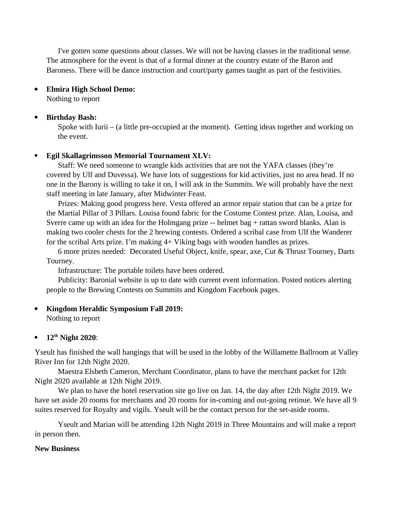I've gotten some questions about classes. We will not be having classes in the traditional sense. The atmosphere for the event is that of a formal dinner at the country estate of the Baron and Baroness. There will be dance instruction and court/party games taught as part of the festivities.

#### **Elmira High School Demo:**

Nothing to report

#### **Birthday Bash:**

Spoke with Iurii – (a little pre-occupied at the moment). Getting ideas together and working on the event.

## **Egil Skallagrimsson Memorial Tournament XLV:**

Staff: We need someone to wrangle kids activities that are not the YAFA classes (they're covered by Ulf and Duvessa). We have lots of suggestions for kid activities, just no area head. If no one in the Barony is willing to take it on, I will ask in the Summits. We will probably have the next staff meeting in late January, after Midwinter Feast.

Prizes: Making good progress here. Vesta offered an armor repair station that can be a prize for the Martial Pillar of 3 Pillars. Louisa found fabric for the Costume Contest prize. Alan, Louisa, and Sverre came up with an idea for the Holmgang prize -- helmet bag + rattan sword blanks. Alan is making two cooler chests for the 2 brewing contests. Ordered a scribal case from Ulf the Wanderer for the scribal Arts prize. I'm making 4+ Viking bags with wooden handles as prizes.

6 more prizes needed: Decorated Useful Object, knife, spear, axe, Cut & Thrust Tourney, Darts Tourney.

Infrastructure: The portable toilets have been ordered.

Publicity: Baronial website is up to date with current event information. Posted notices alerting people to the Brewing Contests on Summits and Kingdom Facebook pages.

**Kingdom Heraldic Symposium Fall 2019:** 

Nothing to report

## **12th Night 2020**:

Yseult has finished the wall hangings that will be used in the lobby of the Willamette Ballroom at Valley River Inn for 12th Night 2020.

 Maestra Elsbeth Cameron, Merchant Coordinator, plans to have the merchant packet for 12th Night 2020 available at 12th Night 2019.

 We plan to have the hotel reservation site go live on Jan. 14, the day after 12th Night 2019. We have set aside 20 rooms for merchants and 20 rooms for in-coming and out-going retinue. We have all 9 suites reserved for Royalty and vigils. Yseult will be the contact person for the set-aside rooms.

 Yseult and Marian will be attending 12th Night 2019 in Three Mountains and will make a report in person then.

#### **New Business**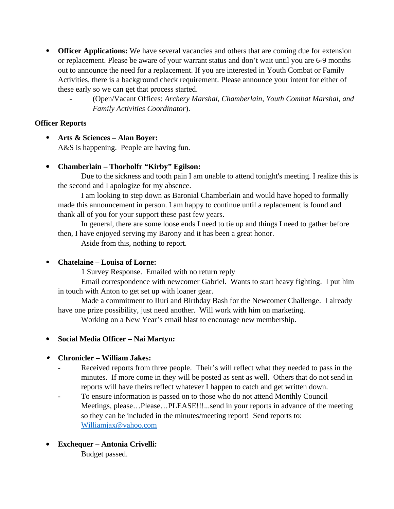- **Officer Applications:** We have several vacancies and others that are coming due for extension or replacement. Please be aware of your warrant status and don't wait until you are 6-9 months out to announce the need for a replacement. If you are interested in Youth Combat or Family Activities, there is a background check requirement. Please announce your intent for either of these early so we can get that process started.
	- **-** (Open/Vacant Offices: *Archery Marshal, Chamberlain*, *Youth Combat Marshal, and Family Activities Coordinator*).

## **Officer Reports**

 **Arts & Sciences – Alan Boyer:**  A&S is happening. People are having fun.

## **Chamberlain – Thorholfr "Kirby" Egilson:**

Due to the sickness and tooth pain I am unable to attend tonight's meeting. I realize this is the second and I apologize for my absence.

I am looking to step down as Baronial Chamberlain and would have hoped to formally made this announcement in person. I am happy to continue until a replacement is found and thank all of you for your support these past few years.

In general, there are some loose ends I need to tie up and things I need to gather before then, I have enjoyed serving my Barony and it has been a great honor.

Aside from this, nothing to report.

## **Chatelaine – Louisa of Lorne:**

1 Survey Response. Emailed with no return reply

Email correspondence with newcomer Gabriel. Wants to start heavy fighting. I put him in touch with Anton to get set up with loaner gear.

Made a commitment to IIuri and Birthday Bash for the Newcomer Challenge. I already have one prize possibility, just need another. Will work with him on marketing.

Working on a New Year's email blast to encourage new membership.

## **Social Media Officer – Nai Martyn:**

## **Chronicler – William Jakes:**

- **-** Received reports from three people. Their's will reflect what they needed to pass in the minutes. If more come in they will be posted as sent as well. Others that do not send in reports will have theirs reflect whatever I happen to catch and get written down.
- **-** To ensure information is passed on to those who do not attend Monthly Council Meetings, please…Please…PLEASE!!!...send in your reports in advance of the meeting so they can be included in the minutes/meeting report! Send reports to: [Williamjax@yahoo.com](mailto:Williamjax@yahoo.com)
- **Exchequer Antonia Crivelli:**  Budget passed.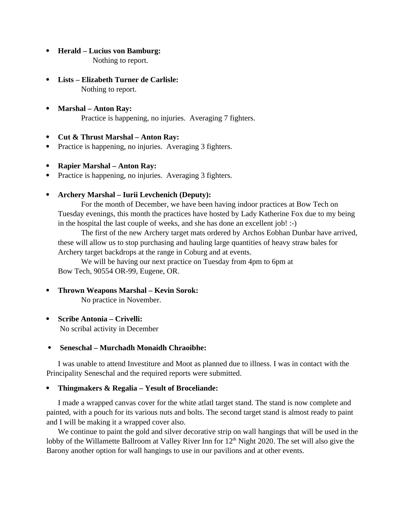**Herald – Lucius von Bamburg:**

Nothing to report.

- **Lists Elizabeth Turner de Carlisle:**  Nothing to report.
- **Marshal Anton Ray:**  Practice is happening, no injuries. Averaging 7 fighters.
- **Cut & Thrust Marshal Anton Ray:**
- Practice is happening, no injuries. Averaging 3 fighters.
- **Rapier Marshal Anton Ray:**
- Practice is happening, no injuries. Averaging 3 fighters.
- **Archery Marshal Iurii Levchenich (Deputy):**

For the month of December, we have been having indoor practices at Bow Tech on Tuesday evenings, this month the practices have hosted by Lady Katherine Fox due to my being in the hospital the last couple of weeks, and she has done an excellent job! :-)

The first of the new Archery target mats ordered by Archos Eobhan Dunbar have arrived, these will allow us to stop purchasing and hauling large quantities of heavy straw bales for Archery target backdrops at the range in Coburg and at events.

We will be having our next practice on Tuesday from 4pm to 6pm at Bow Tech, 90554 OR-99, Eugene, OR.

## **Thrown Weapons Marshal – Kevin Sorok:**

No practice in November.

**Scribe Antonia – Crivelli:** 

No scribal activity in December

## **Seneschal – Murchadh Monaidh Chraoibhe:**

I was unable to attend Investiture and Moot as planned due to illness. I was in contact with the Principality Seneschal and the required reports were submitted.

## **Thingmakers & Regalia – Yesult of Broceliande:**

I made a wrapped canvas cover for the white atlatl target stand. The stand is now complete and painted, with a pouch for its various nuts and bolts. The second target stand is almost ready to paint and I will be making it a wrapped cover also.

We continue to paint the gold and silver decorative strip on wall hangings that will be used in the lobby of the Willamette Ballroom at Valley River Inn for 12<sup>th</sup> Night 2020. The set will also give the Barony another option for wall hangings to use in our pavilions and at other events.